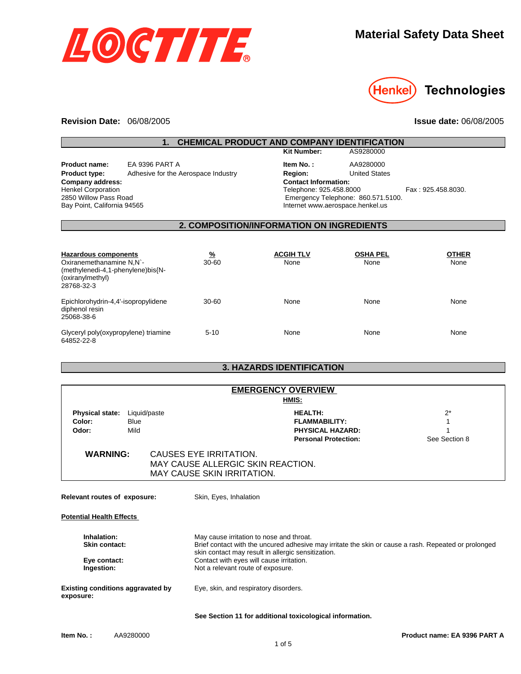



### **Revision Date:**  06/08/2005

**Issue date:** 06/08/2005

| 1.<br><b>CHEMICAL PRODUCT AND COMPANY IDENTIFICATION</b>                                                                                                                                                       |                                     |                                                                                                                                                                                                        |                                                                                                  |                         |                                                        |
|----------------------------------------------------------------------------------------------------------------------------------------------------------------------------------------------------------------|-------------------------------------|--------------------------------------------------------------------------------------------------------------------------------------------------------------------------------------------------------|--------------------------------------------------------------------------------------------------|-------------------------|--------------------------------------------------------|
|                                                                                                                                                                                                                |                                     |                                                                                                                                                                                                        | <b>Kit Number:</b>                                                                               | AS9280000               |                                                        |
| EA 9396 PART A<br><b>Product name:</b><br>Adhesive for the Aerospace Industry<br><b>Product type:</b><br>Company address:<br><b>Henkel Corporation</b><br>2850 Willow Pass Road<br>Bay Point, California 94565 |                                     | Item No.:<br><b>Region:</b><br><b>Contact Information:</b><br>Telephone: 925.458.8000<br>Internet www.aerospace.henkel.us                                                                              | AA9280000<br><b>United States</b><br>Emergency Telephone: 860.571.5100.                          | Fax: 925.458.8030.      |                                                        |
|                                                                                                                                                                                                                |                                     |                                                                                                                                                                                                        | 2. COMPOSITION/INFORMATION ON INGREDIENTS                                                        |                         |                                                        |
| <b>Hazardous components</b><br>Oxiranemethanamine N.N`-<br>(methylenedi-4,1-phenylene)bis{N-<br>(oxiranylmethyl)<br>28768-32-3                                                                                 |                                     | <u>%</u><br>30-60                                                                                                                                                                                      | <b>ACGIH TLV</b><br>None                                                                         | <b>OSHA PEL</b><br>None | <b>OTHER</b><br>None                                   |
| Epichlorohydrin-4,4'-isopropylidene<br>diphenol resin<br>25068-38-6                                                                                                                                            |                                     | 30-60                                                                                                                                                                                                  | None                                                                                             | None                    | None                                                   |
| Glyceryl poly(oxypropylene) triamine<br>64852-22-8                                                                                                                                                             |                                     | $5 - 10$                                                                                                                                                                                               | None                                                                                             | None                    | None                                                   |
|                                                                                                                                                                                                                |                                     |                                                                                                                                                                                                        | <b>3. HAZARDS IDENTIFICATION</b>                                                                 |                         |                                                        |
|                                                                                                                                                                                                                |                                     |                                                                                                                                                                                                        |                                                                                                  |                         |                                                        |
|                                                                                                                                                                                                                |                                     |                                                                                                                                                                                                        | <b>EMERGENCY OVERVIEW</b><br>HMIS:                                                               |                         |                                                        |
| <b>Physical state:</b><br>Color:<br>Odor:                                                                                                                                                                      | Liquid/paste<br><b>Blue</b><br>Mild |                                                                                                                                                                                                        | <b>HEALTH:</b><br><b>FLAMMABILITY:</b><br><b>PHYSICAL HAZARD:</b><br><b>Personal Protection:</b> |                         | $2^*$<br>$\mathbf{1}$<br>$\mathbf{1}$<br>See Section 8 |
| <b>WARNING:</b>                                                                                                                                                                                                |                                     | <b>CAUSES EYE IRRITATION.</b><br>MAY CAUSE SKIN IRRITATION.                                                                                                                                            | MAY CAUSE ALLERGIC SKIN REACTION.                                                                |                         |                                                        |
| Relevant routes of exposure:                                                                                                                                                                                   |                                     | Skin, Eyes, Inhalation                                                                                                                                                                                 |                                                                                                  |                         |                                                        |
| <b>Potential Health Effects</b>                                                                                                                                                                                |                                     |                                                                                                                                                                                                        |                                                                                                  |                         |                                                        |
| Inhalation:<br><b>Skin contact:</b>                                                                                                                                                                            |                                     | May cause irritation to nose and throat.<br>Brief contact with the uncured adhesive may irritate the skin or cause a rash. Repeated or prolonged<br>skin contact may result in allergic sensitization. |                                                                                                  |                         |                                                        |
| Eye contact:<br>Ingestion:                                                                                                                                                                                     |                                     | Not a relevant route of exposure.                                                                                                                                                                      | Contact with eyes will cause irritation.                                                         |                         |                                                        |
| <b>Existing conditions aggravated by</b><br>exposure:                                                                                                                                                          |                                     | Eye, skin, and respiratory disorders.                                                                                                                                                                  |                                                                                                  |                         |                                                        |
|                                                                                                                                                                                                                |                                     |                                                                                                                                                                                                        | See Section 11 for additional toxicological information.                                         |                         |                                                        |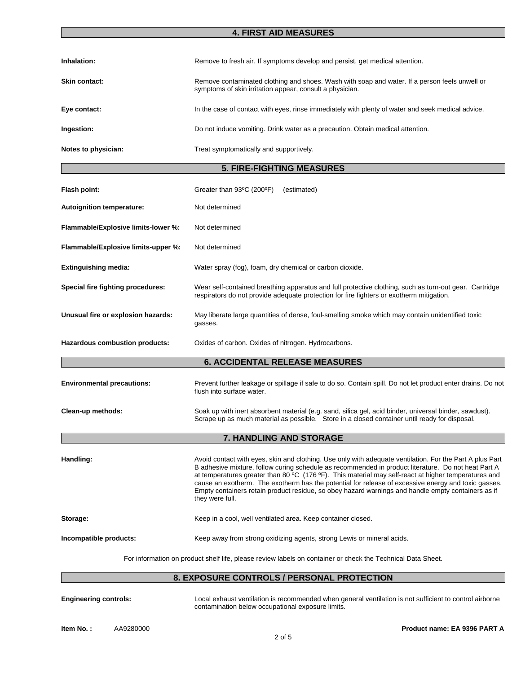### **4. FIRST AID MEASURES**

| Inhalation:          | Remove to fresh air. If symptoms develop and persist, get medical attention.                                                                              |
|----------------------|-----------------------------------------------------------------------------------------------------------------------------------------------------------|
| <b>Skin contact:</b> | Remove contaminated clothing and shoes. Wash with soap and water. If a person feels unwell or<br>symptoms of skin irritation appear, consult a physician. |
| Eye contact:         | In the case of contact with eyes, rinse immediately with plenty of water and seek medical advice.                                                         |
| Ingestion:           | Do not induce vomiting. Drink water as a precaution. Obtain medical attention.                                                                            |
| Notes to physician:  | Treat symptomatically and supportively.                                                                                                                   |

# **5. FIRE-FIGHTING MEASURES**

| Flash point:                                                                                                | Greater than 93°C (200°F)<br>(estimated)                                                                                                                                                                                                                                                                                                                                                                                                                                                                                                                                    |  |  |
|-------------------------------------------------------------------------------------------------------------|-----------------------------------------------------------------------------------------------------------------------------------------------------------------------------------------------------------------------------------------------------------------------------------------------------------------------------------------------------------------------------------------------------------------------------------------------------------------------------------------------------------------------------------------------------------------------------|--|--|
| Autoignition temperature:                                                                                   | Not determined                                                                                                                                                                                                                                                                                                                                                                                                                                                                                                                                                              |  |  |
| Flammable/Explosive limits-lower %:                                                                         | Not determined                                                                                                                                                                                                                                                                                                                                                                                                                                                                                                                                                              |  |  |
| Flammable/Explosive limits-upper %:                                                                         | Not determined                                                                                                                                                                                                                                                                                                                                                                                                                                                                                                                                                              |  |  |
| <b>Extinguishing media:</b>                                                                                 | Water spray (fog), foam, dry chemical or carbon dioxide.                                                                                                                                                                                                                                                                                                                                                                                                                                                                                                                    |  |  |
| Special fire fighting procedures:                                                                           | Wear self-contained breathing apparatus and full protective clothing, such as turn-out gear. Cartridge<br>respirators do not provide adequate protection for fire fighters or exotherm mitigation.                                                                                                                                                                                                                                                                                                                                                                          |  |  |
| Unusual fire or explosion hazards:                                                                          | May liberate large quantities of dense, foul-smelling smoke which may contain unidentified toxic<br>gasses.                                                                                                                                                                                                                                                                                                                                                                                                                                                                 |  |  |
| Hazardous combustion products:                                                                              | Oxides of carbon. Oxides of nitrogen. Hydrocarbons.                                                                                                                                                                                                                                                                                                                                                                                                                                                                                                                         |  |  |
|                                                                                                             | <b>6. ACCIDENTAL RELEASE MEASURES</b>                                                                                                                                                                                                                                                                                                                                                                                                                                                                                                                                       |  |  |
| <b>Environmental precautions:</b>                                                                           | Prevent further leakage or spillage if safe to do so. Contain spill. Do not let product enter drains. Do not<br>flush into surface water.                                                                                                                                                                                                                                                                                                                                                                                                                                   |  |  |
| Clean-up methods:                                                                                           | Soak up with inert absorbent material (e.g. sand, silica gel, acid binder, universal binder, sawdust).<br>Scrape up as much material as possible. Store in a closed container until ready for disposal.                                                                                                                                                                                                                                                                                                                                                                     |  |  |
| 7. HANDLING AND STORAGE                                                                                     |                                                                                                                                                                                                                                                                                                                                                                                                                                                                                                                                                                             |  |  |
| Handling:                                                                                                   | Avoid contact with eyes, skin and clothing. Use only with adequate ventilation. For the Part A plus Part<br>B adhesive mixture, follow curing schedule as recommended in product literature. Do not heat Part A<br>at temperatures greater than 80 $^{\circ}$ C (176 $^{\circ}$ F). This material may self-react at higher temperatures and<br>cause an exotherm. The exotherm has the potential for release of excessive energy and toxic gasses.<br>Empty containers retain product residue, so obey hazard warnings and handle empty containers as if<br>they were full. |  |  |
| Storage:                                                                                                    | Keep in a cool, well ventilated area. Keep container closed.                                                                                                                                                                                                                                                                                                                                                                                                                                                                                                                |  |  |
| Incompatible products:                                                                                      | Keep away from strong oxidizing agents, strong Lewis or mineral acids.                                                                                                                                                                                                                                                                                                                                                                                                                                                                                                      |  |  |
| For information on product shelf life, please review labels on container or check the Technical Data Sheet. |                                                                                                                                                                                                                                                                                                                                                                                                                                                                                                                                                                             |  |  |

# **8. EXPOSURE CONTROLS / PERSONAL PROTECTION**

**Engineering controls:** Local exhaust ventilation is recommended when general ventilation is not sufficient to control airborne contamination below occupational exposure limits.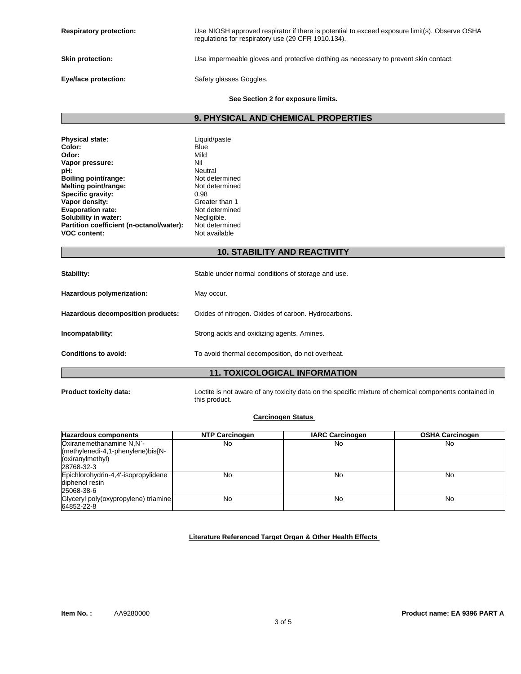| <b>Respiratory protection:</b> | Use NIOSH approved respirator if there is potential to exceed exposure limit(s). Observe OSHA<br>regulations for respiratory use (29 CFR 1910.134). |
|--------------------------------|-----------------------------------------------------------------------------------------------------------------------------------------------------|
| <b>Skin protection:</b>        | Use impermeable gloves and protective clothing as necessary to prevent skin contact.                                                                |
| Eye/face protection:           | Safety glasses Goggles.                                                                                                                             |

#### **See Section 2 for exposure limits.**

**9. PHYSICAL AND CHEMICAL PROPERTIES**

| <b>Physical state:</b>                   | Liquid/paste   |
|------------------------------------------|----------------|
| Color:                                   | Blue           |
| Odor:                                    | Mild           |
| Vapor pressure:                          | Nil            |
| pH:                                      | Neutral        |
| Boiling point/range:                     | Not determined |
| Melting point/range:                     | Not determined |
| Specific gravity:                        | 0.98           |
| Vapor density:                           | Greater than 1 |
| <b>Evaporation rate:</b>                 | Not determined |
| Solubility in water:                     | Negligible.    |
| Partition coefficient (n-octanol/water): | Not determined |
| <b>VOC content:</b>                      | Not available  |

# **10. STABILITY AND REACTIVITY**

| <b>11. TOXICOLOGICAL INFORMATION</b> |                                                     |  |
|--------------------------------------|-----------------------------------------------------|--|
| <b>Conditions to avoid:</b>          | To avoid thermal decomposition, do not overheat.    |  |
| Incompatability:                     | Strong acids and oxidizing agents. Amines.          |  |
| Hazardous decomposition products:    | Oxides of nitrogen. Oxides of carbon. Hydrocarbons. |  |
| Hazardous polymerization:            | May occur.                                          |  |
| Stability:                           | Stable under normal conditions of storage and use.  |  |

**Product toxicity data:** Loctite is not aware of any toxicity data on the specific mixture of chemical components contained in this product.

# **Carcinogen Status**

| <b>Hazardous components</b>          | <b>NTP Carcinogen</b> | <b>IARC Carcinogen</b> | <b>OSHA Carcinogen</b> |
|--------------------------------------|-----------------------|------------------------|------------------------|
| Oxiranemethanamine N,N`-             | No                    | No                     | No                     |
| (methylenedi-4,1-phenylene)bis{N-    |                       |                        |                        |
| (oxiranylmethyl)                     |                       |                        |                        |
| 28768-32-3                           |                       |                        |                        |
| Epichlorohydrin-4,4'-isopropylidene  | No                    | No                     | No                     |
| diphenol resin                       |                       |                        |                        |
| 25068-38-6                           |                       |                        |                        |
| Glyceryl poly(oxypropylene) triamine | No                    | No                     | No                     |
| 64852-22-8                           |                       |                        |                        |

#### **Literature Referenced Target Organ & Other Health Effects**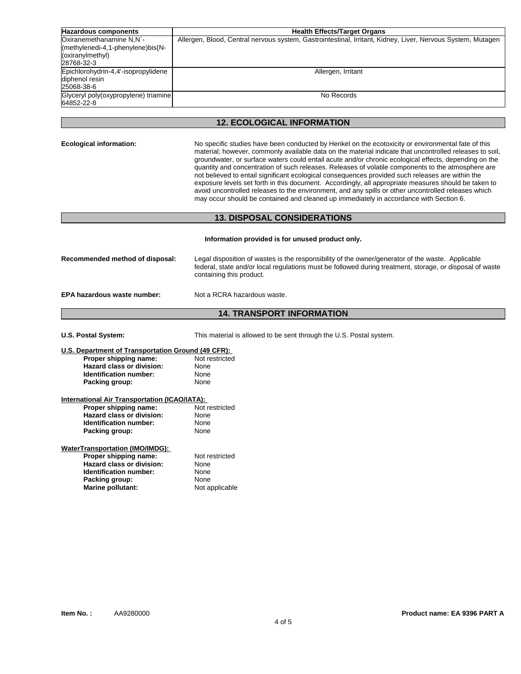| <b>Hazardous components</b>                                                                     | <b>Health Effects/Target Organs</b>                                                                         |
|-------------------------------------------------------------------------------------------------|-------------------------------------------------------------------------------------------------------------|
| Oxiranemethanamine N.N`-<br>(methylenedi-4,1-phenylene)bis{N-<br>(oxiranylmethyl)<br>28768-32-3 | Allergen, Blood, Central nervous system, Gastrointestinal, Irritant, Kidney, Liver, Nervous System, Mutagen |
| Epichlorohydrin-4,4'-isopropylidene<br>diphenol resin<br>25068-38-6                             | Allergen, Irritant                                                                                          |
| Glyceryl poly(oxypropylene) triamine<br>64852-22-8                                              | No Records                                                                                                  |

### **12. ECOLOGICAL INFORMATION**

**Ecological information:** No specific studies have been conducted by Henkel on the ecotoxicity or environmental fate of this material; however, commonly available data on the material indicate that uncontrolled releases to soil, groundwater, or surface waters could entail acute and/or chronic ecological effects, depending on the quantity and concentration of such releases. Releases of volatile components to the atmosphere are not believed to entail significant ecological consequences provided such releases are within the exposure levels set forth in this document. Accordingly, all appropriate measures should be taken to avoid uncontrolled releases to the environment, and any spills or other uncontrolled releases which may occur should be contained and cleaned up immediately in accordance with Section 6.

#### **13. DISPOSAL CONSIDERATIONS**

**Information provided is for unused product only. Recommended method of disposal:** Legal disposition of wastes is the responsibility of the owner/generator of the waste. Applicable federal, state and/or local regulations must be followed during treatment, storage, or disposal of waste containing this product. **EPA hazardous waste number:** Not a RCRA hazardous waste.

## **14. TRANSPORT INFORMATION**

**U.S. Postal System:** This material is allowed to be sent through the U.S. Postal system.

#### **U.S. Department of Transportation Ground (49 CFR): Proper shipping name:** Not restricted **Hazard class or division:** None

**Identification number:** None<br> **Packing group:** None **Packing group:** 

## **International Air Transportation (ICAO/IATA):**

| Proper shipping name:     | Not restricted |
|---------------------------|----------------|
| Hazard class or division: | None           |
| Identification number:    | None           |
| Packing group:            | None           |

#### **WaterTransportation (IMO/IMDG):**

| Proper shipping name:         | Not restricted |
|-------------------------------|----------------|
| Hazard class or division:     | None           |
| <b>Identification number:</b> | None           |
| Packing group:                | None           |
| Marine pollutant:             | Not applicable |